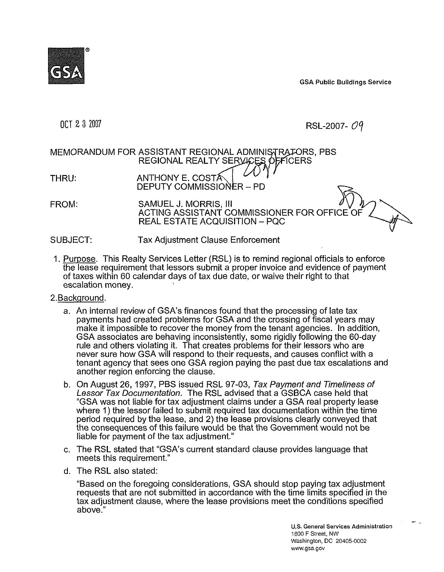GSA Public Building s Service

## OCT 2 3 2007

RSL-2007- $Oq$ 

## MEMORANDUM FOR ASSISTANT REGIONAL ADMINISTRATORS, PBS REGIONAL REALTY SERVICES OFFICERS

THRU: ANTHONY E. COST DEPUTY COMMISSIONER - PD

FROM: SAMUEL J. MORRIS, Ill ACTING ASSISTANT COMMISSIONER FOR OFFICE 0 REAL ESTATE ACQUISITION - PQC

SUBJECT: Tax Adjustment Clause Enforcement

- 1. <u>Purpose</u>. This Realty Services Letter (RSL) is to remind regional officials to enforce the lease requirement that lessors submit a proper invoice and evidence of pa yment of taxes within 60 calendar days of tax due date, or waive their right to that escalation money.
- 2.Background.
	- a. An internal review of GSA's finances found that the processing of late tax payments had created problems for GSA and the crossing of fiscal years may make it impossible to recover the money from the tenant agencies. In add ition, GSA associates are behaving inconsistently, some rigidly following the 60- day rule and others violating it. That creates problems for their lessors who ar e never sure how GSA will respond to their requests, and causes conflict wit h a tenant agency that sees one GSA region paying the past due tax escalatio ns and another region enforcing the clause.
	- b. On August 26, 1997, PBS issued RSL 97-03, Tax Payment and Timeliness of Lessor Tax Documentation. The RSL advised that a GSBCA case held th at "GSA was not liable for tax adjustment claims under a GSA real property l ease where 1) the lessor failed to submit required tax documentation within the time period required by the lease, and 2) the lease provisions clearly conveyed that the consequences of this failure would be that the Government would not be liable for payment of the tax adjustment."
	- c. The RSL stated that "GSA's current standard clause provides language th at meets this requirement."
	- d. The RSL also stated:

"Based on the foregoing considerations, GSA should stop paying tax adju stment requests that are not submitted in accordance with the time limits specifie d in the tax adjustment clause, where the lease provisions meet the conditions spe cified above."

- -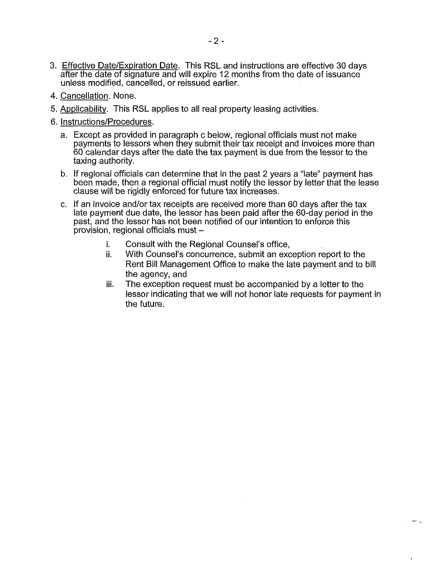- 3. Effective Date/Expiration Date. This RSL and instructions are effective 30 days after the date of signature and will expire 12 months from the date of issuance unless modified, cancelled, or reissued earlier.
- 4. Cancellation. None.
- 5. Applicability. This RSL applies to all real property leasing activities.
- 6. Instructions/Procedures.
	- a. Except as provided in paragraph c below, regional officials must not make payments to lessors when they submit their tax receipt and invoices more t han 60 calendar days after the date the tax payment is due from the lessor to th e taxing authority.
	- b. If regional officials can determine that in the past 2 years a "late" payment has been made, then a regional official must notify the lessor by letter that the l ease clause will be rigidly enforced for future tax increases.
	- c. If an invoice and/or tax receipts are received more than 60 days after the ta x late payment due date, the lessor has been paid after the 60-day period in t he past, and the lessor has not been notified of our intention to enforce this  $p$ rovision, regional officials must  $$ 
		- i. Consult with the Regional Counsel's office,
		- ii. With Counsel's concurrence, submit an exception report to the Rent Bill Management Office to make the late payment and to bill the agency, and
		- iii. The exception request must be accompanied by a letter to the lessor indicating that we will not honor late requests for paym ent in the future.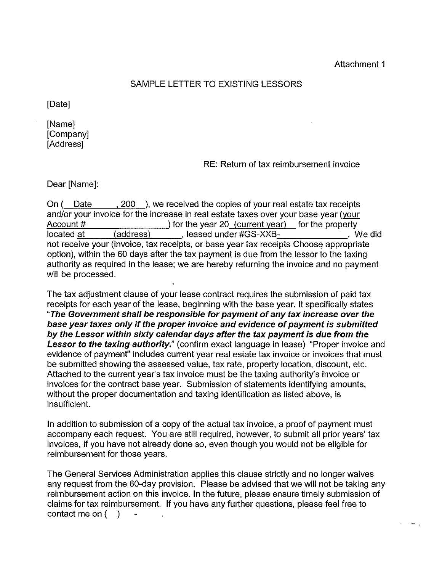$-$ 

## SAMPLE LETTER TO EXISTING LESSORS

[Date]

[Name] [Company] **[Address]** 

## RE: Return of tax reimbursement invoice

Dear [Name]:

On ( Date , 200 ), we received the copies of your real estate tax receipts and/or your invoice for the increase in real estate taxes over your base year (your Account #  $\bigcup$  for the year 20 (current year) for the property located at (address) and all all the seased under #GS-XXB- . We did not receive your (invoice, tax receipts, or base year tax receipts Choose appropriate option), within the 60 days after the tax payment is due from the lessor to the taxing authority as required in the lease; we are hereby returning the invoice and no payment will be processed.

The tax adjustment clause of your lease contract requires the submission of paid tax receipts for each year of the lease, beginning with the base year. It specifically states **"The Government shall be responsible for payment of any tax increase over the base year taxes only if the proper invoice and evidence of payment is submitted by the Lessor within sixty calendar days after the tax payment is due from the**  Lessor to the taxing authority." (confirm exact language in lease) "Proper invoice and evidence of payment" includes current year real estate tax invoice or invoices that must be submitted showing the assessed value, tax rate, property location, discount, etc. Attached to the current year's tax invoice must be the taxing authority's invoice or invoices for the contract base year. Submission of statements identifying amounts, without the proper documentation and taxing identification as listed above, is insufficient.

In addition to submission of a copy of the actual tax invoice, a proof of payment must accompany each request. You are still required, however, to submit all prior years' tax invoices, if you have not already done so, even though you would not be eligible for reimbursement for those years.

The General Services Administration applies this clause strictly and no longer waives any request from the 60-day provision. Please be advised that we will not be taking any reimbursement action on this invoice. In the future, please ensure timely submission of claims for tax reimbursement. If you have any further questions, please feel free to contact me on  $($ )  $\mathbf{u}$